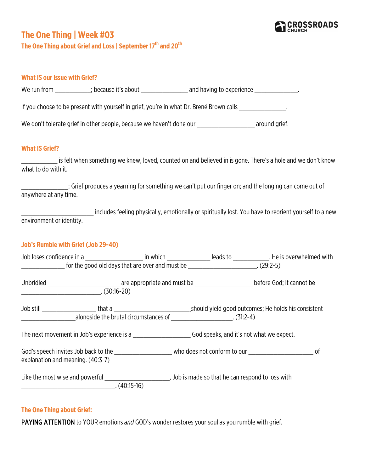

# **The One Thing | Week #03**

**The One Thing about Grief and Loss | September 17th and 20th**

#### **What IS our Issue with Grief?**

We run from \_\_\_\_\_\_\_\_\_\_\_; because it's about \_\_\_\_\_\_\_\_\_\_\_\_\_\_\_ and having to experience \_\_\_\_\_\_\_\_\_\_\_\_\_\_.

If you choose to be present with yourself in grief, you're in what Dr. Brené Brown calls \_\_\_\_\_\_\_\_\_\_\_\_\_\_\_.

We don't tolerate grief in other people, because we haven't done our \_\_\_\_\_\_\_\_\_\_\_\_\_\_\_\_\_\_\_\_\_\_ around grief.

#### **What IS Grief?**

is felt when something we knew, loved, counted on and believed in is gone. There's a hole and we don't know what to do with it.

\_\_\_\_\_\_\_\_\_\_\_\_\_: Grief produces a yearning for something we can't put our finger on; and the longing can come out of anywhere at any time.

\_\_\_\_\_\_\_\_\_\_\_\_\_\_\_\_\_\_\_\_ includes feeling physically, emotionally or spiritually lost. You have to reorient yourself to a new environment or identity.

### **Job's Rumble with Grief (Job 29-40)**

|                                                                                                                                                     |  | for the good old days that are over and must be [13] (29:2-5)             |  |
|-----------------------------------------------------------------------------------------------------------------------------------------------------|--|---------------------------------------------------------------------------|--|
| $\overline{\hspace{1cm}1.30:16-20}$ . (30:16-20)                                                                                                    |  |                                                                           |  |
|                                                                                                                                                     |  | alongside the brutal circumstances of _________________________. (31:2-4) |  |
| The next movement in Job's experience is a series of the Southern God speaks, and it's not what we expect.                                          |  |                                                                           |  |
| God's speech invites Job back to the the three who does not conform to our speech invites Job back to the thre<br>explanation and meaning. (40:3-7) |  |                                                                           |  |
| Like the most wise and powerful example and the can respond to loss with<br>$(40:15-16)$                                                            |  |                                                                           |  |

# **The One Thing about Grief:**

PAYING ATTENTION to YOUR emotions *and* GOD's wonder restores your soul as you rumble with grief.